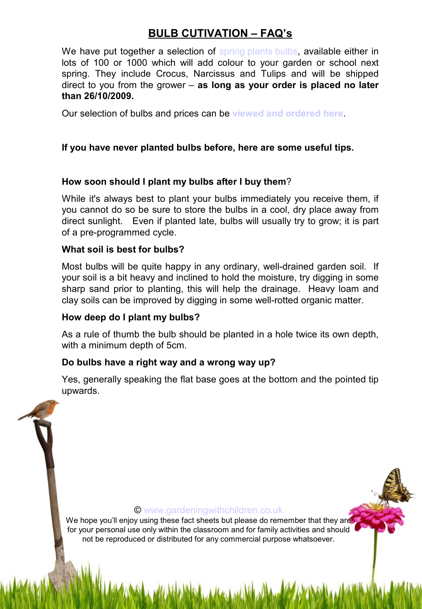# **BULB CUTIVATION – FAQ's**

We have put together a selection of [spring plants bulbs](http://www.recycleworks.co.uk/100-spring-garden-bulbs-c-305-p-1-pr-16425.html), available either in lots of 100 or 1000 which will add colour to your garden or school next spring. They include Crocus, Narcissus and Tulips and will be shipped direct to you from the grower – **as long as your order is placed no later than 26/10/2009.**

Our selection of bulbs and prices can be **[viewed and ordered here](http://www.recycleworks.co.uk/100-spring-garden-bulbs-c-305-p-1-pr-16425.html)**.

# **If you have never planted bulbs before, here are some useful tips.**

# **How soon should I plant my bulbs after I buy them**?

While it's always best to plant your bulbs immediately you receive them, if you cannot do so be sure to store the bulbs in a cool, dry place away from direct sunlight. Even if planted late, bulbs will usually try to grow; it is part of a pre-programmed cycle.

### **What soil is best for bulbs?**

Most bulbs will be quite happy in any ordinary, well-drained garden soil. If your soil is a bit heavy and inclined to hold the moisture, try digging in some sharp sand prior to planting, this will help the drainage. Heavy loam and clay soils can be improved by digging in some well-rotted organic matter.

### **How deep do I plant my bulbs?**

As a rule of thumb the bulb should be planted in a hole twice its own depth, with a minimum depth of 5cm.

# **Do bulbs have a right way and a wrong way up?**

Yes, generally speaking the flat base goes at the bottom and the pointed tip upwards.

#### © [www.gardeningwithchildren.co.uk](http://gardeningwithchildren.co.uk/)

We hope you'll enjoy using these fact sheets but please do remember that they are for your personal use only within the classroom and for family activities and should not be reproduced or distributed for any commercial purpose whatsoever.